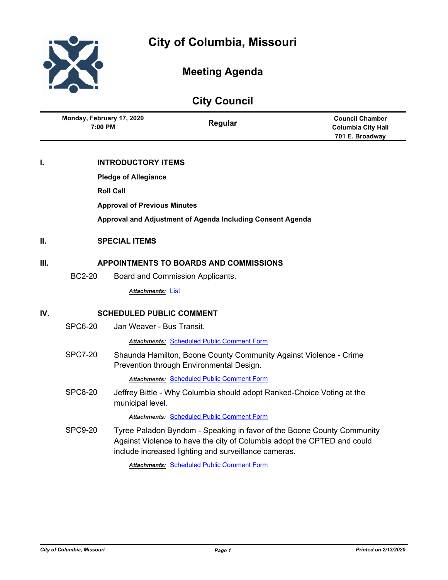

# **Meeting Agenda**

|     | <b>City Council</b>                    |                                     |                                                                                                                                                                                                           |                                                                        |  |  |
|-----|----------------------------------------|-------------------------------------|-----------------------------------------------------------------------------------------------------------------------------------------------------------------------------------------------------------|------------------------------------------------------------------------|--|--|
|     | Monday, February 17, 2020<br>7:00 PM   |                                     | Regular                                                                                                                                                                                                   | <b>Council Chamber</b><br><b>Columbia City Hall</b><br>701 E. Broadway |  |  |
| I.  | <b>INTRODUCTORY ITEMS</b>              |                                     |                                                                                                                                                                                                           |                                                                        |  |  |
|     |                                        | <b>Pledge of Allegiance</b>         |                                                                                                                                                                                                           |                                                                        |  |  |
|     |                                        | <b>Roll Call</b>                    |                                                                                                                                                                                                           |                                                                        |  |  |
|     |                                        | <b>Approval of Previous Minutes</b> |                                                                                                                                                                                                           |                                                                        |  |  |
|     |                                        |                                     | Approval and Adjustment of Agenda Including Consent Agenda                                                                                                                                                |                                                                        |  |  |
| Н.  | <b>SPECIAL ITEMS</b>                   |                                     |                                                                                                                                                                                                           |                                                                        |  |  |
| Ш.  | APPOINTMENTS TO BOARDS AND COMMISSIONS |                                     |                                                                                                                                                                                                           |                                                                        |  |  |
|     | <b>BC2-20</b>                          |                                     | Board and Commission Applicants.                                                                                                                                                                          |                                                                        |  |  |
|     |                                        | <b>Attachments: List</b>            |                                                                                                                                                                                                           |                                                                        |  |  |
| IV. | <b>SCHEDULED PUBLIC COMMENT</b>        |                                     |                                                                                                                                                                                                           |                                                                        |  |  |
|     | SPC6-20                                | Jan Weaver - Bus Transit.           |                                                                                                                                                                                                           |                                                                        |  |  |
|     |                                        |                                     | <b>Attachments: Scheduled Public Comment Form</b>                                                                                                                                                         |                                                                        |  |  |
|     | SPC7-20                                |                                     | Shaunda Hamilton, Boone County Community Against Violence - Crime<br>Prevention through Environmental Design.                                                                                             |                                                                        |  |  |
|     |                                        |                                     | <b>Attachments: Scheduled Public Comment Form</b>                                                                                                                                                         |                                                                        |  |  |
|     | <b>SPC8-20</b>                         | municipal level.                    | Jeffrey Bittle - Why Columbia should adopt Ranked-Choice Voting at the                                                                                                                                    |                                                                        |  |  |
|     |                                        |                                     | <b>Attachments: Scheduled Public Comment Form</b>                                                                                                                                                         |                                                                        |  |  |
|     | SPC9-20                                |                                     | Tyree Paladon Byndom - Speaking in favor of the Boone County Community<br>Against Violence to have the city of Columbia adopt the CPTED and could<br>include increased lighting and surveillance cameras. |                                                                        |  |  |
|     |                                        |                                     | <b>Attachments: Scheduled Public Comment Form</b>                                                                                                                                                         |                                                                        |  |  |
|     |                                        |                                     |                                                                                                                                                                                                           |                                                                        |  |  |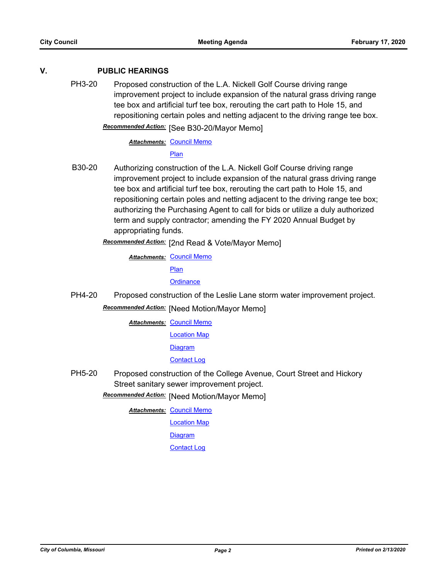## **V. PUBLIC HEARINGS**

PH3-20 Proposed construction of the L.A. Nickell Golf Course driving range improvement project to include expansion of the natural grass driving range tee box and artificial turf tee box, rerouting the cart path to Hole 15, and repositioning certain poles and netting adjacent to the driving range tee box. [See B30-20/Mayor Memo] *Recommended Action:*

**Attachments: [Council Memo](http://gocolumbiamo.legistar.com/gateway.aspx?M=F&ID=ffd434b0-2f63-49d0-ae7d-32b104e9bc91.docx)** 

[Plan](http://gocolumbiamo.legistar.com/gateway.aspx?M=F&ID=5fc97444-37fb-4ea0-9cf0-ae4d87c822a9.pdf)

B30-20 Authorizing construction of the L.A. Nickell Golf Course driving range improvement project to include expansion of the natural grass driving range tee box and artificial turf tee box, rerouting the cart path to Hole 15, and repositioning certain poles and netting adjacent to the driving range tee box; authorizing the Purchasing Agent to call for bids or utilize a duly authorized term and supply contractor; amending the FY 2020 Annual Budget by appropriating funds.

[2nd Read & Vote/Mayor Memo] *Recommended Action:*

**Attachments: [Council Memo](http://gocolumbiamo.legistar.com/gateway.aspx?M=F&ID=40815c8b-cca1-46ac-af3d-41bfa867b78a.docx)** [Plan](http://gocolumbiamo.legistar.com/gateway.aspx?M=F&ID=060c2092-c840-4912-812a-b68d93325ab1.pdf) **[Ordinance](http://gocolumbiamo.legistar.com/gateway.aspx?M=F&ID=8034b5d8-42db-43fb-9413-a4dd62f49d64.doc)** 

PH4-20 Proposed construction of the Leslie Lane storm water improvement project.

**Recommended Action:** [Need Motion/Mayor Memo]

**Attachments: [Council Memo](http://gocolumbiamo.legistar.com/gateway.aspx?M=F&ID=9a922055-a612-495c-891b-7d20b2bb9854.docx)** 

[Location Map](http://gocolumbiamo.legistar.com/gateway.aspx?M=F&ID=14e67b14-ad6c-4ec1-a684-e1023d4ab257.pdf)

**[Diagram](http://gocolumbiamo.legistar.com/gateway.aspx?M=F&ID=46247f15-4106-4aff-b721-578b972e9331.pdf)** 

## [Contact Log](http://gocolumbiamo.legistar.com/gateway.aspx?M=F&ID=71661dd0-3590-4b07-80c5-03089d6e7618.pdf)

PH5-20 Proposed construction of the College Avenue, Court Street and Hickory Street sanitary sewer improvement project.

[Need Motion/Mayor Memo] *Recommended Action:*

**Attachments: [Council Memo](http://gocolumbiamo.legistar.com/gateway.aspx?M=F&ID=64b0c870-f2b0-47fb-921b-ba725eff718a.docx)** 

[Location Map](http://gocolumbiamo.legistar.com/gateway.aspx?M=F&ID=fe97f81b-9dd3-4ece-b368-4dbadb10c854.pdf)

[Diagram](http://gocolumbiamo.legistar.com/gateway.aspx?M=F&ID=736a1e8e-890e-4351-b4c3-1895821233df.pdf)

[Contact Log](http://gocolumbiamo.legistar.com/gateway.aspx?M=F&ID=757963c8-e911-4f81-b993-797baef73ce1.pdf)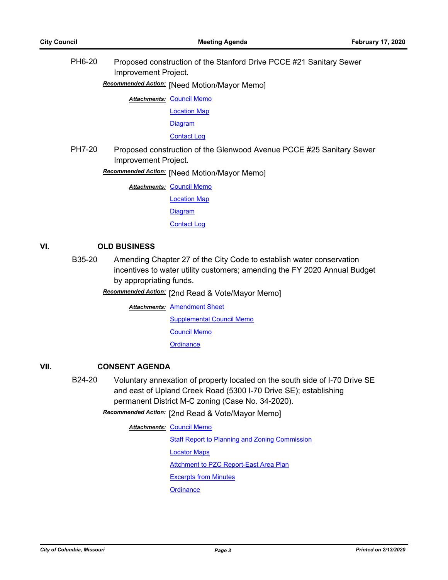PH6-20 Proposed construction of the Stanford Drive PCCE #21 Sanitary Sewer Improvement Project. [Need Motion/Mayor Memo] *Recommended Action:* **Attachments: [Council Memo](http://gocolumbiamo.legistar.com/gateway.aspx?M=F&ID=504609e0-82fa-4325-9b96-a8dd7d9b593f.docx)** [Location Map](http://gocolumbiamo.legistar.com/gateway.aspx?M=F&ID=cb760497-cdec-4745-bfd2-f93233eb8510.pdf) [Diagram](http://gocolumbiamo.legistar.com/gateway.aspx?M=F&ID=68b83ac0-3428-4acc-a62a-b9713b8f00bf.pdf) [Contact Log](http://gocolumbiamo.legistar.com/gateway.aspx?M=F&ID=818a3048-d3ec-433e-88f8-1846bfb2864f.pdf) PH7-20 Proposed construction of the Glenwood Avenue PCCE #25 Sanitary Sewer Improvement Project.

**Recommended Action:** [Need Motion/Mayor Memo]

**Attachments: [Council Memo](http://gocolumbiamo.legistar.com/gateway.aspx?M=F&ID=bf0efe84-c81f-4128-83a0-5f69936353cb.docx)** 

[Location Map](http://gocolumbiamo.legistar.com/gateway.aspx?M=F&ID=cbb22ed9-7985-4676-9604-0003a61a2f9d.pdf) **[Diagram](http://gocolumbiamo.legistar.com/gateway.aspx?M=F&ID=8af18d14-8b1c-41dd-ae63-76849da2eb33.pdf)** 

[Contact Log](http://gocolumbiamo.legistar.com/gateway.aspx?M=F&ID=59f384f8-bc43-4976-8b28-e763a02bfcc0.pdf)

# **VI. OLD BUSINESS**

B35-20 Amending Chapter 27 of the City Code to establish water conservation incentives to water utility customers; amending the FY 2020 Annual Budget by appropriating funds.

[2nd Read & Vote/Mayor Memo] *Recommended Action:*

**Attachments: [Amendment Sheet](http://gocolumbiamo.legistar.com/gateway.aspx?M=F&ID=90b3c66e-0fcd-41c9-82c8-1c2554a3cd3f.doc)** [Supplemental Council Memo](http://gocolumbiamo.legistar.com/gateway.aspx?M=F&ID=bfff152c-26bc-4b92-8b24-8ad3d5061e1d.docx)

[Council Memo](http://gocolumbiamo.legistar.com/gateway.aspx?M=F&ID=ca428dbf-f81a-460c-8eb5-c7506ffe6e36.docx)

**[Ordinance](http://gocolumbiamo.legistar.com/gateway.aspx?M=F&ID=364e38e4-7f7a-4f7c-b874-b6e885bcb764.doc)** 

# **VII. CONSENT AGENDA**

B24-20 Voluntary annexation of property located on the south side of I-70 Drive SE and east of Upland Creek Road (5300 I-70 Drive SE); establishing permanent District M-C zoning (Case No. 34-2020).

Recommended Action: [2nd Read & Vote/Mayor Memo]

**Attachments: [Council Memo](http://gocolumbiamo.legistar.com/gateway.aspx?M=F&ID=f079bd73-3a7c-4a7c-bbca-022283d9a609.docx)** 

**[Staff Report to Planning and Zoning Commission](http://gocolumbiamo.legistar.com/gateway.aspx?M=F&ID=73b0c01e-b969-41bf-b9f1-cfa59642e183.docx)** [Locator Maps](http://gocolumbiamo.legistar.com/gateway.aspx?M=F&ID=c7760c49-d7b6-4d55-93a5-cee6852224c4.pdf) [Attchment to PZC Report-East Area Plan](http://gocolumbiamo.legistar.com/gateway.aspx?M=F&ID=7f5b7100-bbf0-47e4-8ad6-80b57bea1338.pdf) [Excerpts from Minutes](http://gocolumbiamo.legistar.com/gateway.aspx?M=F&ID=d0ad36ad-d36e-49e8-b330-f1bb99a3feee.docx)

**[Ordinance](http://gocolumbiamo.legistar.com/gateway.aspx?M=F&ID=4889bd2e-68fe-4c50-8336-685d6a449945.doc)**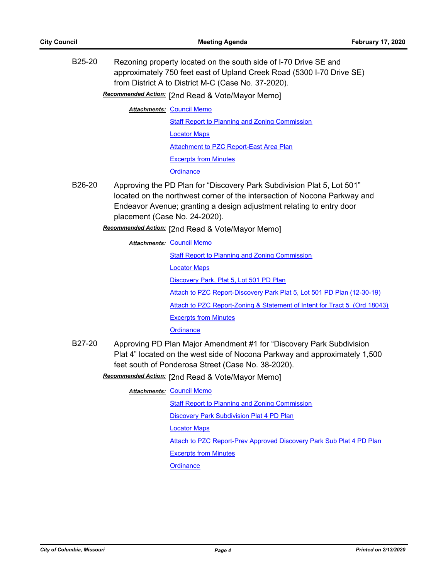| B25-20 | Rezoning property located on the south side of I-70 Drive SE and<br>approximately 750 feet east of Upland Creek Road (5300 I-70 Drive SE)<br>from District A to District M-C (Case No. 37-2020).<br>Recommended Action: [2nd Read & Vote/Mayor Memo] |                                                       |  |
|--------|------------------------------------------------------------------------------------------------------------------------------------------------------------------------------------------------------------------------------------------------------|-------------------------------------------------------|--|
|        |                                                                                                                                                                                                                                                      | <b>Attachments: Council Memo</b>                      |  |
|        |                                                                                                                                                                                                                                                      | <b>Staff Report to Planning and Zoning Commission</b> |  |
|        |                                                                                                                                                                                                                                                      | <b>Locator Maps</b>                                   |  |
|        |                                                                                                                                                                                                                                                      | Attachment to PZC Report-East Area Plan               |  |
|        |                                                                                                                                                                                                                                                      |                                                       |  |

[Excerpts from Minutes](http://gocolumbiamo.legistar.com/gateway.aspx?M=F&ID=be7ad77a-ff01-446f-bf26-9aeb4a0521db.docx)

**[Ordinance](http://gocolumbiamo.legistar.com/gateway.aspx?M=F&ID=ddc7b242-eeaf-43e1-96fa-fe6b668e9254.doc)** 

- B26-20 Approving the PD Plan for "Discovery Park Subdivision Plat 5, Lot 501" located on the northwest corner of the intersection of Nocona Parkway and Endeavor Avenue; granting a design adjustment relating to entry door placement (Case No. 24-2020).
	- **Recommended Action:** [2nd Read & Vote/Mayor Memo]

**Attachments: [Council Memo](http://gocolumbiamo.legistar.com/gateway.aspx?M=F&ID=d4a583e9-85ea-4d9c-b6f2-7086b806806b.docx)** 

**[Staff Report to Planning and Zoning Commission](http://gocolumbiamo.legistar.com/gateway.aspx?M=F&ID=640861d3-7c31-43ca-b2d9-020e75922dde.docx)** 

[Locator Maps](http://gocolumbiamo.legistar.com/gateway.aspx?M=F&ID=f0c11ff7-1b36-491d-999e-2d67bfa96071.pdf)

[Discovery Park, Plat 5, Lot 501 PD Plan](http://gocolumbiamo.legistar.com/gateway.aspx?M=F&ID=27cee9e4-ce46-41ba-baee-62221268b60f.pdf)

[Attach to PZC Report-Discovery Park Plat 5, Lot 501 PD Plan \(12-30-19\)](http://gocolumbiamo.legistar.com/gateway.aspx?M=F&ID=aa1ec8cb-9f15-463a-bac1-2c358bd791ea.pdf)

[Attach to PZC Report-Zoning & Statement of Intent for Tract 5 \(Ord 18043\)](http://gocolumbiamo.legistar.com/gateway.aspx?M=F&ID=7dfdd6f7-1b8b-4c30-b775-d40630d180ea.pdf)

[Excerpts from Minutes](http://gocolumbiamo.legistar.com/gateway.aspx?M=F&ID=5325cf3c-084c-40aa-a669-3979864fd0c7.docx)

**[Ordinance](http://gocolumbiamo.legistar.com/gateway.aspx?M=F&ID=f3ba8bdb-249d-4be4-b3d4-06699c7bdfbe.doc)** 

B27-20 Approving PD Plan Major Amendment #1 for "Discovery Park Subdivision Plat 4" located on the west side of Nocona Parkway and approximately 1,500 feet south of Ponderosa Street (Case No. 38-2020).

Recommended Action: [2nd Read & Vote/Mayor Memo]

**Attachments: [Council Memo](http://gocolumbiamo.legistar.com/gateway.aspx?M=F&ID=3104af27-ace8-4e5f-a972-313169683d69.docx)** 

[Staff Report to Planning and Zoning Commission](http://gocolumbiamo.legistar.com/gateway.aspx?M=F&ID=9fe892e1-42db-4f35-ab57-1b920fa8a54a.docx)

[Discovery Park Subdivision Plat 4 PD Plan](http://gocolumbiamo.legistar.com/gateway.aspx?M=F&ID=812c2057-957c-4c06-b14b-608975142b48.pdf)

[Locator Maps](http://gocolumbiamo.legistar.com/gateway.aspx?M=F&ID=a17e4629-47f1-4db5-a3b6-c21c350dcc91.pdf)

[Attach to PZC Report-Prev Approved Discovery Park Sub Plat 4 PD Plan](http://gocolumbiamo.legistar.com/gateway.aspx?M=F&ID=c870e566-0e42-464b-828b-b667b938e7a8.pdf)

[Excerpts from Minutes](http://gocolumbiamo.legistar.com/gateway.aspx?M=F&ID=32ac815c-f9c0-4580-897f-ad30da89b8cd.docx)

**[Ordinance](http://gocolumbiamo.legistar.com/gateway.aspx?M=F&ID=0304c458-418b-4176-9698-4481cca5139d.doc)**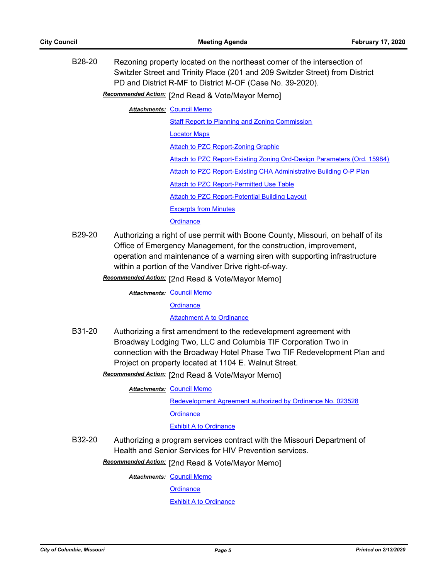B28-20 Rezoning property located on the northeast corner of the intersection of Switzler Street and Trinity Place (201 and 209 Switzler Street) from District PD and District R-MF to District M-OF (Case No. 39-2020).

# Recommended Action: [2nd Read & Vote/Mayor Memo]

**Attachments: [Council Memo](http://gocolumbiamo.legistar.com/gateway.aspx?M=F&ID=72cc4a2d-5ef1-479f-a277-105f9346dc6d.docx)** 

[Staff Report to Planning and Zoning Commission](http://gocolumbiamo.legistar.com/gateway.aspx?M=F&ID=688c6f7f-5c5e-476f-a7fe-7217d87c2078.docx) [Locator Maps](http://gocolumbiamo.legistar.com/gateway.aspx?M=F&ID=4c1a9feb-40ae-4d55-919b-6c15e128a935.pdf) [Attach to PZC Report-Zoning Graphic](http://gocolumbiamo.legistar.com/gateway.aspx?M=F&ID=dcfd2533-845c-4ec0-87e7-d3fc3a2cc12c.pdf) [Attach to PZC Report-Existing Zoning Ord-Design Parameters \(Ord. 15984\)](http://gocolumbiamo.legistar.com/gateway.aspx?M=F&ID=3ed41f38-5b5f-48ba-99a7-de5a9bcfe55d.pdf) [Attach to PZC Report-Existing CHA Administrative Building O-P Plan](http://gocolumbiamo.legistar.com/gateway.aspx?M=F&ID=536ad2c8-fe89-4749-a54b-b6c2ff19c590.pdf) [Attach to PZC Report-Permitted Use Table](http://gocolumbiamo.legistar.com/gateway.aspx?M=F&ID=4a6560cf-5835-4d56-a64e-3a0755dd4622.pdf) [Attach to PZC Report-Potential Building Layout](http://gocolumbiamo.legistar.com/gateway.aspx?M=F&ID=df7eb119-8113-496e-8959-95ceac99b88b.pdf) [Excerpts from Minutes](http://gocolumbiamo.legistar.com/gateway.aspx?M=F&ID=5dfbb1a7-d344-405d-8bee-e0769370fd77.docx)

#### **[Ordinance](http://gocolumbiamo.legistar.com/gateway.aspx?M=F&ID=31f9d29a-8691-4220-b3b1-0bad8af6972f.doc)**

B29-20 Authorizing a right of use permit with Boone County, Missouri, on behalf of its Office of Emergency Management, for the construction, improvement, operation and maintenance of a warning siren with supporting infrastructure within a portion of the Vandiver Drive right-of-way.

**Recommended Action:** [2nd Read & Vote/Mayor Memo]

**Attachments: [Council Memo](http://gocolumbiamo.legistar.com/gateway.aspx?M=F&ID=59ee6517-6b61-4391-a3d1-6724ef63c50a.docx)** 

**[Ordinance](http://gocolumbiamo.legistar.com/gateway.aspx?M=F&ID=6a708b64-9336-4ab2-b0f1-2f12bc026bf6.doc)** 

#### **[Attachment A to Ordinance](http://gocolumbiamo.legistar.com/gateway.aspx?M=F&ID=9f5b50a3-4191-4257-a48b-f97824b46d8a.pdf)**

B31-20 Authorizing a first amendment to the redevelopment agreement with Broadway Lodging Two, LLC and Columbia TIF Corporation Two in connection with the Broadway Hotel Phase Two TIF Redevelopment Plan and Project on property located at 1104 E. Walnut Street.

Recommended Action: [2nd Read & Vote/Mayor Memo]

**Attachments: [Council Memo](http://gocolumbiamo.legistar.com/gateway.aspx?M=F&ID=143e061d-547c-4723-81b5-f168140504bd.docx)** 

[Redevelopment Agreement authorized by Ordinance No. 023528](http://gocolumbiamo.legistar.com/gateway.aspx?M=F&ID=fae62369-c2d8-4cba-b0b4-588cf6cf2e3c.pdf)

**[Ordinance](http://gocolumbiamo.legistar.com/gateway.aspx?M=F&ID=545acd2d-b5cf-424d-a947-eb1ee3cb7e88.doc)** 

**[Exhibit A to Ordinance](http://gocolumbiamo.legistar.com/gateway.aspx?M=F&ID=0641c114-18aa-434c-8d80-1854d7583cfe.pdf)** 

B32-20 Authorizing a program services contract with the Missouri Department of Health and Senior Services for HIV Prevention services.

Recommended Action: [2nd Read & Vote/Mayor Memo]

**Attachments: [Council Memo](http://gocolumbiamo.legistar.com/gateway.aspx?M=F&ID=398d0327-4aca-48a7-9082-cf57d3668213.docx)** 

**[Ordinance](http://gocolumbiamo.legistar.com/gateway.aspx?M=F&ID=1ea08cab-0625-4326-84ff-038e13a392d3.doc)** 

[Exhibit A to Ordinance](http://gocolumbiamo.legistar.com/gateway.aspx?M=F&ID=6ad86e8f-b55b-4239-9842-46cabdef8708.pdf)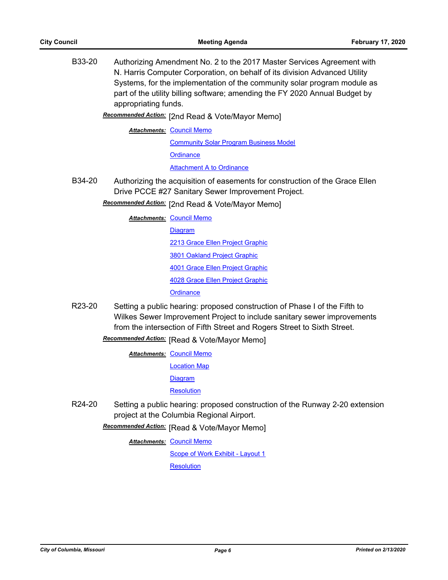B33-20 Authorizing Amendment No. 2 to the 2017 Master Services Agreement with N. Harris Computer Corporation, on behalf of its division Advanced Utility Systems, for the implementation of the community solar program module as part of the utility billing software; amending the FY 2020 Annual Budget by appropriating funds.

[2nd Read & Vote/Mayor Memo] *Recommended Action:*

**Attachments: [Council Memo](http://gocolumbiamo.legistar.com/gateway.aspx?M=F&ID=27806969-1a47-4876-9069-57a312a0e296.docx)** 

[Community Solar Program Business Model](http://gocolumbiamo.legistar.com/gateway.aspx?M=F&ID=9690e5c1-a7d7-4373-81f8-f3358f14c5ec.docx)

**[Ordinance](http://gocolumbiamo.legistar.com/gateway.aspx?M=F&ID=a729dc81-2ba9-4e70-8281-68317ed427f3.doc)** 

**[Attachment A to Ordinance](http://gocolumbiamo.legistar.com/gateway.aspx?M=F&ID=5b75112f-4fb1-4d3e-8177-b8e136c48627.pdf)** 

B34-20 Authorizing the acquisition of easements for construction of the Grace Ellen Drive PCCE #27 Sanitary Sewer Improvement Project.

Recommended Action: [2nd Read & Vote/Mayor Memo]

**Attachments: [Council Memo](http://gocolumbiamo.legistar.com/gateway.aspx?M=F&ID=0599f78f-9d32-4c6f-9451-d4690efd6c6c.docx)** 

[Diagram](http://gocolumbiamo.legistar.com/gateway.aspx?M=F&ID=a9795acb-6a44-4028-aa7f-61cf6f5d7719.pdf) [2213 Grace Ellen Project Graphic](http://gocolumbiamo.legistar.com/gateway.aspx?M=F&ID=e60d3888-a60a-4d7c-8d45-dc10111fc039.pdf) [3801 Oakland Project Graphic](http://gocolumbiamo.legistar.com/gateway.aspx?M=F&ID=d41e188d-27d8-4e59-8831-409483702368.pdf) [4001 Grace Ellen Project Graphic](http://gocolumbiamo.legistar.com/gateway.aspx?M=F&ID=82d0c5aa-90d6-4a3a-ab28-c2745db4101e.pdf) [4028 Grace Ellen Project Graphic](http://gocolumbiamo.legistar.com/gateway.aspx?M=F&ID=55a8cbc1-09aa-46c5-817e-1d5556ca34a6.pdf) **[Ordinance](http://gocolumbiamo.legistar.com/gateway.aspx?M=F&ID=98bd33a9-5f96-4821-afb7-5782ca9a86b3.doc)** 

R23-20 Setting a public hearing: proposed construction of Phase I of the Fifth to Wilkes Sewer Improvement Project to include sanitary sewer improvements from the intersection of Fifth Street and Rogers Street to Sixth Street.

**Recommended Action:** [Read & Vote/Mayor Memo]

**Attachments: [Council Memo](http://gocolumbiamo.legistar.com/gateway.aspx?M=F&ID=f1f0de79-669a-4ca2-9701-21c26f1a4603.docx)** 

[Location Map](http://gocolumbiamo.legistar.com/gateway.aspx?M=F&ID=adee5646-d22d-480c-aafd-805b7b76f71e.pdf)

[Diagram](http://gocolumbiamo.legistar.com/gateway.aspx?M=F&ID=f9c11ff6-7878-4aed-b8a9-c960174daa05.pdf)

**[Resolution](http://gocolumbiamo.legistar.com/gateway.aspx?M=F&ID=778673ff-71b2-4d66-86ac-211392f910a7.doc)** 

R24-20 Setting a public hearing: proposed construction of the Runway 2-20 extension project at the Columbia Regional Airport.

**Recommended Action:** [Read & Vote/Mayor Memo]

**Attachments: [Council Memo](http://gocolumbiamo.legistar.com/gateway.aspx?M=F&ID=28643d0d-a398-4d72-9385-f0c7958e24ec.docx)** 

[Scope of Work Exhibit - Layout 1](http://gocolumbiamo.legistar.com/gateway.aspx?M=F&ID=7b39efc5-1671-496e-85e3-0ec8cead5ef3.pdf)

**[Resolution](http://gocolumbiamo.legistar.com/gateway.aspx?M=F&ID=3076142e-8384-421d-bf8b-8065bdf87ce0.doc)**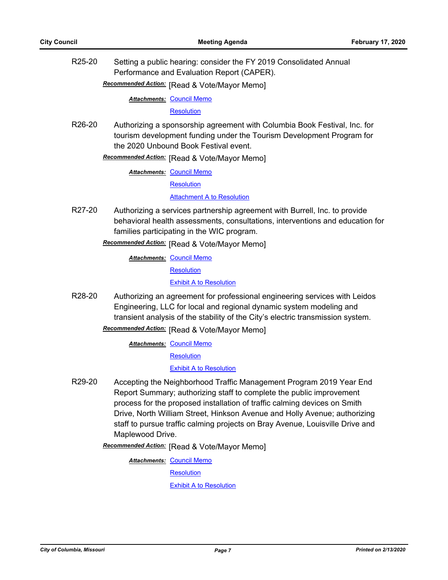R25-20 Setting a public hearing: consider the FY 2019 Consolidated Annual Performance and Evaluation Report (CAPER).

**Recommended Action:** [Read & Vote/Mayor Memo]

**Attachments: [Council Memo](http://gocolumbiamo.legistar.com/gateway.aspx?M=F&ID=9146a704-e67b-456d-8ba2-2ccb3b115a8d.docx)** 

**[Resolution](http://gocolumbiamo.legistar.com/gateway.aspx?M=F&ID=aff4d0c1-e276-4ee5-926b-b8d3f4ced58b.doc)** 

R26-20 Authorizing a sponsorship agreement with Columbia Book Festival, Inc. for tourism development funding under the Tourism Development Program for the 2020 Unbound Book Festival event.

Recommended Action: [Read & Vote/Mayor Memo]

**Attachments: [Council Memo](http://gocolumbiamo.legistar.com/gateway.aspx?M=F&ID=a48dbe4c-0cae-4c89-827d-83dc80a48205.docx)** 

**[Resolution](http://gocolumbiamo.legistar.com/gateway.aspx?M=F&ID=fded3f72-5d15-4062-b9d3-0d0af24304b1.doc)** 

[Attachment A to Resolution](http://gocolumbiamo.legistar.com/gateway.aspx?M=F&ID=200b61b5-8546-42d2-a425-5d15f505ac2e.pdf)

R27-20 Authorizing a services partnership agreement with Burrell, Inc. to provide behavioral health assessments, consultations, interventions and education for families participating in the WIC program.

**Recommended Action: [Read & Vote/Mayor Memo]** 

**Attachments: [Council Memo](http://gocolumbiamo.legistar.com/gateway.aspx?M=F&ID=f638f555-423a-48f2-88dd-7ae94fe8562f.docx)** 

**[Resolution](http://gocolumbiamo.legistar.com/gateway.aspx?M=F&ID=d88117d2-320b-4a08-a727-0b3b2a3a408a.doc)** 

[Exhibit A to Resolution](http://gocolumbiamo.legistar.com/gateway.aspx?M=F&ID=2dd825f1-6529-4a8d-88d3-7c7745c7fd14.pdf)

R28-20 Authorizing an agreement for professional engineering services with Leidos Engineering, LLC for local and regional dynamic system modeling and transient analysis of the stability of the City's electric transmission system.

**Recommended Action:** [Read & Vote/Mayor Memo]

**Attachments: [Council Memo](http://gocolumbiamo.legistar.com/gateway.aspx?M=F&ID=aefe8ec4-7237-4135-8441-3e865bf7eaa6.docx)** 

**[Resolution](http://gocolumbiamo.legistar.com/gateway.aspx?M=F&ID=9a3bc372-419c-40e7-b8eb-79082455c624.doc)** 

**[Exhibit A to Resolution](http://gocolumbiamo.legistar.com/gateway.aspx?M=F&ID=6aeffa61-7033-43b3-a2ef-9877d77037c0.pdf)** 

R29-20 Accepting the Neighborhood Traffic Management Program 2019 Year End Report Summary; authorizing staff to complete the public improvement process for the proposed installation of traffic calming devices on Smith Drive, North William Street, Hinkson Avenue and Holly Avenue; authorizing staff to pursue traffic calming projects on Bray Avenue, Louisville Drive and Maplewood Drive.

**Recommended Action:** [Read & Vote/Mayor Memo]

**Attachments: [Council Memo](http://gocolumbiamo.legistar.com/gateway.aspx?M=F&ID=825b1a4f-7a3e-4add-bad7-69833611b83c.docx)** 

**[Resolution](http://gocolumbiamo.legistar.com/gateway.aspx?M=F&ID=ada5382e-4659-4238-85db-53cb36b9b7f9.doc)** 

[Exhibit A to Resolution](http://gocolumbiamo.legistar.com/gateway.aspx?M=F&ID=e07b4278-666e-42fd-8469-76a811c54cba.pdf)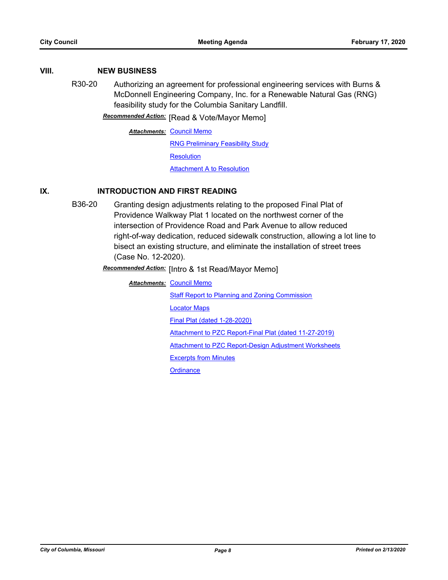#### **VIII. NEW BUSINESS**

R30-20 Authorizing an agreement for professional engineering services with Burns & McDonnell Engineering Company, Inc. for a Renewable Natural Gas (RNG) feasibility study for the Columbia Sanitary Landfill.

**Recommended Action:** [Read & Vote/Mayor Memo]

**Attachments: [Council Memo](http://gocolumbiamo.legistar.com/gateway.aspx?M=F&ID=f98d6fe9-8c09-4517-8cc4-82282a19cda0.docx)** [RNG Preliminary Feasibility Study](http://gocolumbiamo.legistar.com/gateway.aspx?M=F&ID=bc8c31a7-dbaf-432a-8324-bbffa5bcc805.pdf) **[Resolution](http://gocolumbiamo.legistar.com/gateway.aspx?M=F&ID=4ef77858-0996-445d-8013-60dceb576937.doc) [Attachment A to Resolution](http://gocolumbiamo.legistar.com/gateway.aspx?M=F&ID=56210abc-3265-47ca-a92a-0c8fa4233c20.pdf)** 

# **IX. INTRODUCTION AND FIRST READING**

B36-20 Granting design adjustments relating to the proposed Final Plat of Providence Walkway Plat 1 located on the northwest corner of the intersection of Providence Road and Park Avenue to allow reduced right-of-way dedication, reduced sidewalk construction, allowing a lot line to bisect an existing structure, and eliminate the installation of street trees (Case No. 12-2020).

**Recommended Action:** [Intro & 1st Read/Mayor Memo]

**Attachments: [Council Memo](http://gocolumbiamo.legistar.com/gateway.aspx?M=F&ID=8d2b5d04-fa96-4f82-8e75-a29ea97f4036.docx)** [Staff Report to Planning and Zoning Commission](http://gocolumbiamo.legistar.com/gateway.aspx?M=F&ID=574745b0-9340-4ed8-b8d6-e2cfdd31ed8c.docx) [Locator Maps](http://gocolumbiamo.legistar.com/gateway.aspx?M=F&ID=a39f7dd3-3e4b-410b-8e2f-6550133070b9.pdf) [Final Plat \(dated 1-28-2020\)](http://gocolumbiamo.legistar.com/gateway.aspx?M=F&ID=01aa3c68-142a-4fb9-996d-fd7f42e5579e.pdf) [Attachment to PZC Report-Final Plat \(dated 11-27-2019\)](http://gocolumbiamo.legistar.com/gateway.aspx?M=F&ID=1f748694-b20c-497d-88d3-8485bf407e56.pdf) [Attachment to PZC Report-Design Adjustment Worksheets](http://gocolumbiamo.legistar.com/gateway.aspx?M=F&ID=22fa9aa2-197a-4110-b003-519c8dd19fa3.pdf) [Excerpts from Minutes](http://gocolumbiamo.legistar.com/gateway.aspx?M=F&ID=c914c660-d3aa-4751-81ce-8a2cd3d9d8dd.docx) **[Ordinance](http://gocolumbiamo.legistar.com/gateway.aspx?M=F&ID=3c5a7a4a-98ae-4339-b0b0-770f59ae095a.doc)**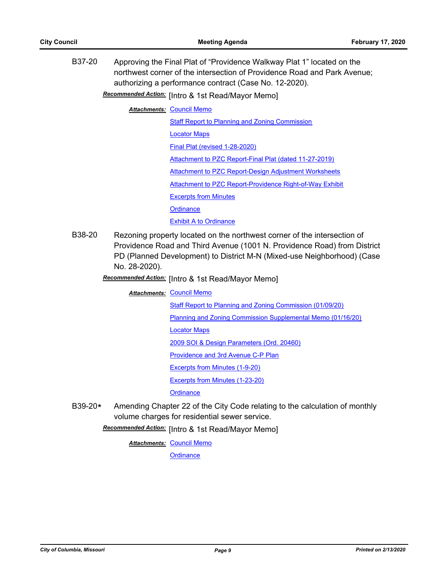B37-20 Approving the Final Plat of "Providence Walkway Plat 1" located on the northwest corner of the intersection of Providence Road and Park Avenue; authorizing a performance contract (Case No. 12-2020).

Recommended Action: [Intro & 1st Read/Mayor Memo]

**Attachments: [Council Memo](http://gocolumbiamo.legistar.com/gateway.aspx?M=F&ID=aadfbdf1-e946-41da-8b9f-a6acccb6d36d.docx)** 

[Staff Report to Planning and Zoning Commission](http://gocolumbiamo.legistar.com/gateway.aspx?M=F&ID=f7b94d8d-eab3-4400-a990-35cfe2972730.docx)

[Locator Maps](http://gocolumbiamo.legistar.com/gateway.aspx?M=F&ID=9a6a68d2-744f-466c-aa0e-1f3834295c1c.pdf)

[Final Plat \(revised 1-28-2020\)](http://gocolumbiamo.legistar.com/gateway.aspx?M=F&ID=cbbfa868-af35-4c35-a87c-7688adc6d918.pdf)

[Attachment to PZC Report-Final Plat \(dated 11-27-2019\)](http://gocolumbiamo.legistar.com/gateway.aspx?M=F&ID=f206ea68-518f-4f96-b078-35568315fc32.pdf)

[Attachment to PZC Report-Design Adjustment Worksheets](http://gocolumbiamo.legistar.com/gateway.aspx?M=F&ID=613b1193-8883-4b66-8412-5032529ad340.pdf)

[Attachment to PZC Report-Providence Right-of-Way Exhibit](http://gocolumbiamo.legistar.com/gateway.aspx?M=F&ID=5bdd1ec5-c45f-4c54-bdc5-addec4361b46.pdf)

[Excerpts from Minutes](http://gocolumbiamo.legistar.com/gateway.aspx?M=F&ID=12a21129-bfb1-4f2f-9cfc-a96d8ba53cd8.docx)

**[Ordinance](http://gocolumbiamo.legistar.com/gateway.aspx?M=F&ID=bd530fc6-92be-4939-9de5-d246f0af6d11.doc)** 

**[Exhibit A to Ordinance](http://gocolumbiamo.legistar.com/gateway.aspx?M=F&ID=6cd1ec20-d848-4b3b-8280-5a6e65cc352f.pdf)** 

B38-20 Rezoning property located on the northwest corner of the intersection of Providence Road and Third Avenue (1001 N. Providence Road) from District PD (Planned Development) to District M-N (Mixed-use Neighborhood) (Case No. 28-2020).

**Recommended Action:** [Intro & 1st Read/Mayor Memo]

**Attachments: [Council Memo](http://gocolumbiamo.legistar.com/gateway.aspx?M=F&ID=6747b080-d51b-48b5-abde-d328bb12a352.docx)** 

[Staff Report to Planning and Zoning Commission \(01/09/20\)](http://gocolumbiamo.legistar.com/gateway.aspx?M=F&ID=b4f0cf82-c1bf-439b-a1da-e8f784c69d06.docx)

[Planning and Zoning Commission Supplemental Memo \(01/16/20\)](http://gocolumbiamo.legistar.com/gateway.aspx?M=F&ID=6f9e8a8d-c08f-43e6-bf50-3967daf06b2e.docx)

[Locator Maps](http://gocolumbiamo.legistar.com/gateway.aspx?M=F&ID=17a6e0df-f452-4acd-840f-2dc7bf41218c.pdf)

[2009 SOI & Design Parameters \(Ord. 20460\)](http://gocolumbiamo.legistar.com/gateway.aspx?M=F&ID=37c68365-d485-42a8-9b83-cb8900029e06.pdf)

[Providence and 3rd Avenue C-P Plan](http://gocolumbiamo.legistar.com/gateway.aspx?M=F&ID=9caf7080-8b35-4025-9072-742f73696ed9.pdf)

[Excerpts from Minutes \(1-9-20\)](http://gocolumbiamo.legistar.com/gateway.aspx?M=F&ID=a7563c53-c179-4ca6-85b5-8d0b533ffc01.docx)

[Excerpts from Minutes \(1-23-20\)](http://gocolumbiamo.legistar.com/gateway.aspx?M=F&ID=5653d615-343b-4b00-b529-3f4f101dc20e.docx)

**[Ordinance](http://gocolumbiamo.legistar.com/gateway.aspx?M=F&ID=8351f390-d960-4554-a092-b1824f0eb21d.doc)** 

B39-20**\*** Amending Chapter 22 of the City Code relating to the calculation of monthly volume charges for residential sewer service.

**Recommended Action:** [Intro & 1st Read/Mayor Memo]

**Attachments: [Council Memo](http://gocolumbiamo.legistar.com/gateway.aspx?M=F&ID=cf2d37b5-50ab-4e9a-a022-8be937eeff1d.docx)** 

**[Ordinance](http://gocolumbiamo.legistar.com/gateway.aspx?M=F&ID=5be87307-444f-4e35-b0d2-81ab36ab6697.doc)**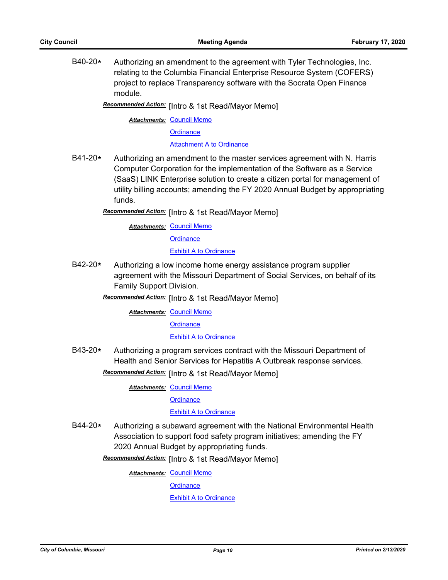B40-20**\*** Authorizing an amendment to the agreement with Tyler Technologies, Inc. relating to the Columbia Financial Enterprise Resource System (COFERS) project to replace Transparency software with the Socrata Open Finance module.

Recommended Action: [Intro & 1st Read/Mayor Memo]

**Attachments: [Council Memo](http://gocolumbiamo.legistar.com/gateway.aspx?M=F&ID=086f580a-d97e-4be2-babe-97b57a177e5e.docx)** 

**[Ordinance](http://gocolumbiamo.legistar.com/gateway.aspx?M=F&ID=94736d8f-4bf9-4bb8-a497-3583d954bd3e.doc)** 

[Attachment A to Ordinance](http://gocolumbiamo.legistar.com/gateway.aspx?M=F&ID=5b1c8026-7c30-4fcd-89b2-a2d9b730e680.pdf)

B41-20**\*** Authorizing an amendment to the master services agreement with N. Harris Computer Corporation for the implementation of the Software as a Service (SaaS) LINK Enterprise solution to create a citizen portal for management of utility billing accounts; amending the FY 2020 Annual Budget by appropriating funds.

Recommended Action: [Intro & 1st Read/Mayor Memo]

**Attachments: [Council Memo](http://gocolumbiamo.legistar.com/gateway.aspx?M=F&ID=668aa2e9-c652-47f1-9865-1a24c7c4b277.docx)** 

**[Ordinance](http://gocolumbiamo.legistar.com/gateway.aspx?M=F&ID=8cdca559-c167-4785-b965-6bfda308e258.doc)** 

[Exhibit A to Ordinance](http://gocolumbiamo.legistar.com/gateway.aspx?M=F&ID=0fae1be3-f479-4bf3-a88f-fb584f57518e.pdf)

B42-20**\*** Authorizing a low income home energy assistance program supplier agreement with the Missouri Department of Social Services, on behalf of its Family Support Division.

Recommended Action: [Intro & 1st Read/Mayor Memo]

**Attachments: [Council Memo](http://gocolumbiamo.legistar.com/gateway.aspx?M=F&ID=86dab561-3fe3-4ca5-9896-2257132457ee.docx)** 

**[Ordinance](http://gocolumbiamo.legistar.com/gateway.aspx?M=F&ID=c7ca298f-bab0-4983-9939-822b6e8fb9db.doc)** 

#### [Exhibit A to Ordinance](http://gocolumbiamo.legistar.com/gateway.aspx?M=F&ID=7094d90f-607e-404b-b8f2-983ef56cb050.pdf)

B43-20**\*** Authorizing a program services contract with the Missouri Department of Health and Senior Services for Hepatitis A Outbreak response services.

**Recommended Action:** [Intro & 1st Read/Mayor Memo]

**Attachments: [Council Memo](http://gocolumbiamo.legistar.com/gateway.aspx?M=F&ID=36195000-ba18-49cd-9419-7d6ae84f993f.docx)** 

**[Ordinance](http://gocolumbiamo.legistar.com/gateway.aspx?M=F&ID=34a9d89f-63c1-4e1c-9a43-c46ebab66aba.doc)** 

#### [Exhibit A to Ordinance](http://gocolumbiamo.legistar.com/gateway.aspx?M=F&ID=f46b04de-5229-4b0c-a0a3-34ac536b4d88.pdf)

B44-20**\*** Authorizing a subaward agreement with the National Environmental Health Association to support food safety program initiatives; amending the FY 2020 Annual Budget by appropriating funds.

**Recommended Action:** [Intro & 1st Read/Mayor Memo]

**Attachments: [Council Memo](http://gocolumbiamo.legistar.com/gateway.aspx?M=F&ID=254140ed-cdd6-440e-917c-4bd5015876e4.docx)** 

**[Ordinance](http://gocolumbiamo.legistar.com/gateway.aspx?M=F&ID=54272a03-bef5-4faa-88bb-9b926cecf4a9.doc)** 

[Exhibit A to Ordinance](http://gocolumbiamo.legistar.com/gateway.aspx?M=F&ID=e4dfb743-2cb0-4231-963e-873c616d0b97.pdf)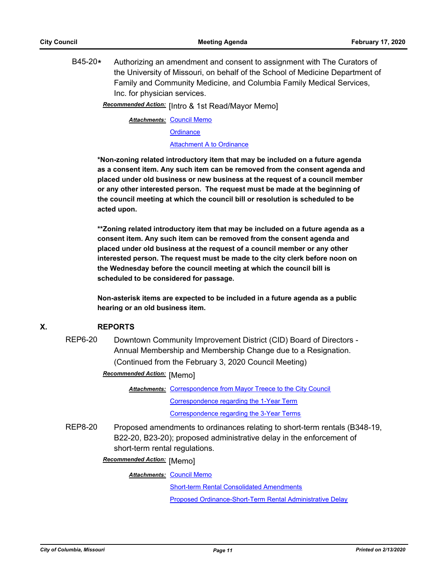B45-20**\*** Authorizing an amendment and consent to assignment with The Curators of the University of Missouri, on behalf of the School of Medicine Department of Family and Community Medicine, and Columbia Family Medical Services, Inc. for physician services.

Recommended Action: [Intro & 1st Read/Mayor Memo]

**Attachments: [Council Memo](http://gocolumbiamo.legistar.com/gateway.aspx?M=F&ID=6af44892-656d-4c10-941b-c8051ab13af0.docx)** 

**[Ordinance](http://gocolumbiamo.legistar.com/gateway.aspx?M=F&ID=5816dc47-0e44-4cc0-bf6b-2cde0d7c042f.doc)** 

[Attachment A to Ordinance](http://gocolumbiamo.legistar.com/gateway.aspx?M=F&ID=643e8483-f10f-4250-b20f-1d3221323705.pdf)

**\*Non-zoning related introductory item that may be included on a future agenda as a consent item. Any such item can be removed from the consent agenda and placed under old business or new business at the request of a council member or any other interested person. The request must be made at the beginning of the council meeting at which the council bill or resolution is scheduled to be acted upon.** 

**\*\*Zoning related introductory item that may be included on a future agenda as a consent item. Any such item can be removed from the consent agenda and placed under old business at the request of a council member or any other interested person. The request must be made to the city clerk before noon on the Wednesday before the council meeting at which the council bill is scheduled to be considered for passage.**

**Non-asterisk items are expected to be included in a future agenda as a public hearing or an old business item.**

#### **X. REPORTS**

REP6-20 Downtown Community Improvement District (CID) Board of Directors - Annual Membership and Membership Change due to a Resignation. (Continued from the February 3, 2020 Council Meeting)

**Recommended Action:** [Memo]

Attachments: [Correspondence from Mayor Treece to the City Council](http://gocolumbiamo.legistar.com/gateway.aspx?M=F&ID=4558a1f0-538b-4d7f-a820-02c878926ebe.pdf)

[Correspondence regarding the 1-Year Term](http://gocolumbiamo.legistar.com/gateway.aspx?M=F&ID=34bbe459-184c-4fd1-8939-64e77624d85f.pdf)

[Correspondence regarding the 3-Year Terms](http://gocolumbiamo.legistar.com/gateway.aspx?M=F&ID=d6d4e5c1-ea10-4289-814d-ff9b6a63d814.pdf)

REP8-20 Proposed amendments to ordinances relating to short-term rentals (B348-19, B22-20, B23-20); proposed administrative delay in the enforcement of short-term rental regulations.

**Recommended Action:** [Memo]

**Attachments: [Council Memo](http://gocolumbiamo.legistar.com/gateway.aspx?M=F&ID=c3df0971-5854-4801-8578-b513bdf155c3.docx)** 

[Short-term Rental Consolidated Amendments](http://gocolumbiamo.legistar.com/gateway.aspx?M=F&ID=28e3c953-3b1f-4ea7-9592-175547b09022.pdf)

[Proposed Ordinance-Short-Term Rental Administrative Delay](http://gocolumbiamo.legistar.com/gateway.aspx?M=F&ID=c156a955-8807-4696-ab1b-ab18cf34b674.doc)